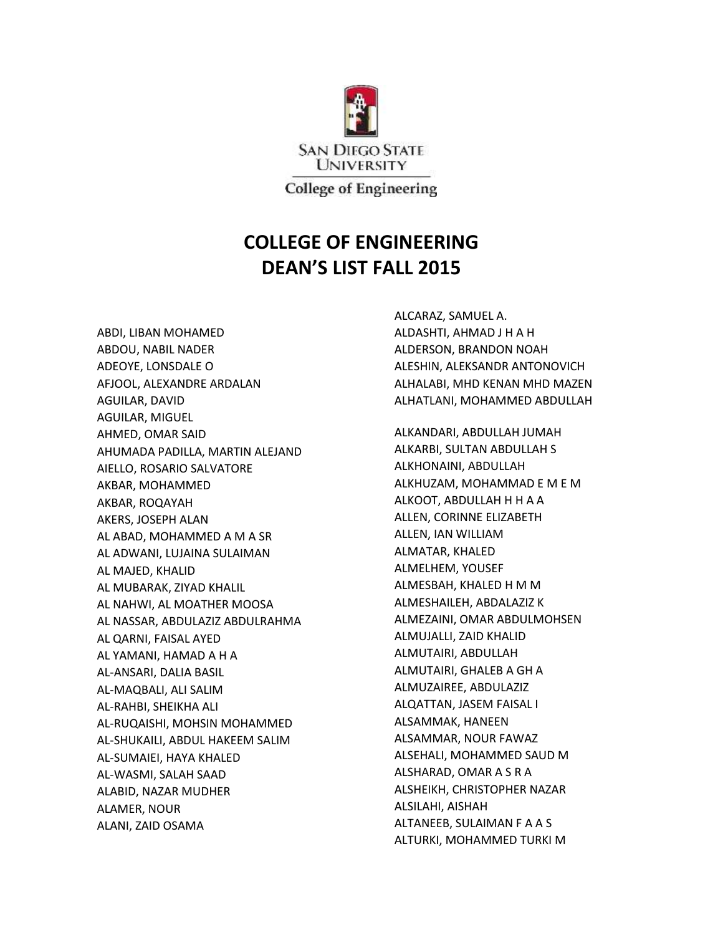

**College of Engineering** 

## **COLLEGE OF ENGINEERING DEAN'S LIST FALL 2015**

ABDI, LIBAN MOHAMED ABDOU, NABIL NADER ADEOYE, LONSDALE O AFJOOL, ALEXANDRE ARDALAN AGUILAR, DAVID AGUILAR, MIGUEL AHMED, OMAR SAID AHUMADA PADILLA, MARTIN ALEJAND AIELLO, ROSARIO SALVATORE AKBAR, MOHAMMED AKBAR, ROQAYAH AKERS, JOSEPH ALAN AL ABAD, MOHAMMED A M A SR AL ADWANI, LUJAINA SULAIMAN AL MAJED, KHALID AL MUBARAK, ZIYAD KHALIL AL NAHWI, AL MOATHER MOOSA AL NASSAR, ABDULAZIZ ABDULRAHMA AL QARNI, FAISAL AYED AL YAMANI, HAMAD A H A AL-ANSARI, DALIA BASIL AL-MAQBALI, ALI SALIM AL-RAHBI, SHEIKHA ALI AL-RUQAISHI, MOHSIN MOHAMMED AL-SHUKAILI, ABDUL HAKEEM SALIM AL-SUMAIEI, HAYA KHALED AL-WASMI, SALAH SAAD ALABID, NAZAR MUDHER ALAMER, NOUR ALANI, ZAID OSAMA

ALCARAZ, SAMUEL A. ALDASHTI, AHMAD J H A H ALDERSON, BRANDON NOAH ALESHIN, ALEKSANDR ANTONOVICH ALHALABI, MHD KENAN MHD MAZEN ALHATLANI, MOHAMMED ABDULLAH

ALKANDARI, ABDULLAH JUMAH ALKARBI, SULTAN ABDULLAH S ALKHONAINI, ABDULLAH ALKHUZAM, MOHAMMAD E M E M ALKOOT, ABDULLAH H H A A ALLEN, CORINNE ELIZABETH ALLEN, IAN WILLIAM ALMATAR, KHALED ALMELHEM, YOUSEF ALMESBAH, KHALED H M M ALMESHAILEH, ABDALAZIZ K ALMEZAINI, OMAR ABDULMOHSEN ALMUJALLI, ZAID KHALID ALMUTAIRI, ABDULLAH ALMUTAIRI, GHALEB A GH A ALMUZAIREE, ABDULAZIZ ALQATTAN, JASEM FAISAL I ALSAMMAK, HANEEN ALSAMMAR, NOUR FAWAZ ALSEHALI, MOHAMMED SAUD M ALSHARAD, OMAR A S R A ALSHEIKH, CHRISTOPHER NAZAR ALSILAHI, AISHAH ALTANEEB, SULAIMAN F A A S ALTURKI, MOHAMMED TURKI M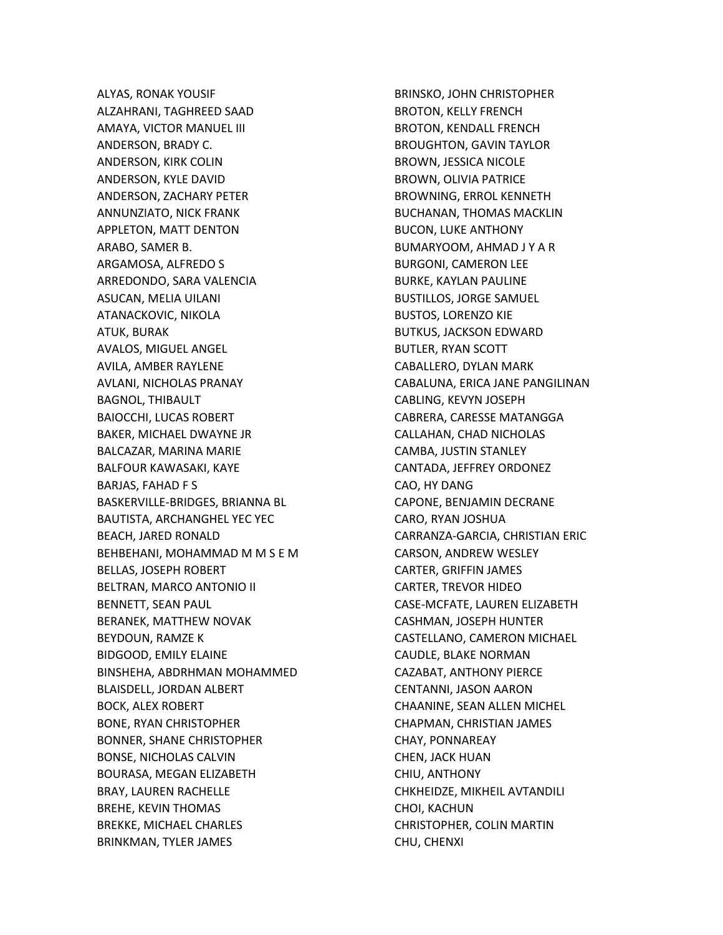ALYAS, RONAK YOUSIF ALZAHRANI, TAGHREED SAAD AMAYA, VICTOR MANUEL III ANDERSON, BRADY C. ANDERSON, KIRK COLIN ANDERSON, KYLE DAVID ANDERSON, ZACHARY PETER ANNUNZIATO, NICK FRANK APPLETON, MATT DENTON ARABO, SAMER B. ARGAMOSA, ALFREDO S ARREDONDO, SARA VALENCIA ASUCAN, MELIA UILANI ATANACKOVIC, NIKOLA ATUK, BURAK AVALOS, MIGUEL ANGEL AVILA, AMBER RAYLENE AVLANI, NICHOLAS PRANAY BAGNOL, THIBAULT BAIOCCHI, LUCAS ROBERT BAKER, MICHAEL DWAYNE JR BALCAZAR, MARINA MARIE BALFOUR KAWASAKI, KAYE BARJAS, FAHAD F S BASKERVILLE-BRIDGES, BRIANNA BL BAUTISTA, ARCHANGHEL YEC YEC BEACH, JARED RONALD BEHBEHANI, MOHAMMAD M M S E M BELLAS, JOSEPH ROBERT BELTRAN, MARCO ANTONIO II BENNETT, SEAN PAUL BERANEK, MATTHEW NOVAK BEYDOUN, RAMZE K BIDGOOD, EMILY ELAINE BINSHEHA, ABDRHMAN MOHAMMED BLAISDELL, JORDAN ALBERT BOCK, ALEX ROBERT BONE, RYAN CHRISTOPHER BONNER, SHANE CHRISTOPHER BONSE, NICHOLAS CALVIN BOURASA, MEGAN ELIZABETH BRAY, LAUREN RACHELLE BREHE, KEVIN THOMAS BREKKE, MICHAEL CHARLES BRINKMAN, TYLER JAMES

BRINSKO, JOHN CHRISTOPHER BROTON, KELLY FRENCH BROTON, KENDALL FRENCH BROUGHTON, GAVIN TAYLOR BROWN, JESSICA NICOLE BROWN, OLIVIA PATRICE BROWNING, ERROL KENNETH BUCHANAN, THOMAS MACKLIN BUCON, LUKE ANTHONY BUMARYOOM, AHMAD J Y A R BURGONI, CAMERON LEE BURKE, KAYLAN PAULINE BUSTILLOS, JORGE SAMUEL BUSTOS, LORENZO KIE BUTKUS, JACKSON EDWARD BUTLER, RYAN SCOTT CABALLERO, DYLAN MARK CABALUNA, ERICA JANE PANGILINAN CABLING, KEVYN JOSEPH CABRERA, CARESSE MATANGGA CALLAHAN, CHAD NICHOLAS CAMBA, JUSTIN STANLEY CANTADA, JEFFREY ORDONEZ CAO, HY DANG CAPONE, BENJAMIN DECRANE CARO, RYAN JOSHUA CARRANZA-GARCIA, CHRISTIAN ERIC CARSON, ANDREW WESLEY CARTER, GRIFFIN JAMES CARTER, TREVOR HIDEO CASE-MCFATE, LAUREN ELIZABETH CASHMAN, JOSEPH HUNTER CASTELLANO, CAMERON MICHAEL CAUDLE, BLAKE NORMAN CAZABAT, ANTHONY PIERCE CENTANNI, JASON AARON CHAANINE, SEAN ALLEN MICHEL CHAPMAN, CHRISTIAN JAMES CHAY, PONNAREAY CHEN, JACK HUAN CHIU, ANTHONY CHKHEIDZE, MIKHEIL AVTANDILI CHOI, KACHUN CHRISTOPHER, COLIN MARTIN CHU, CHENXI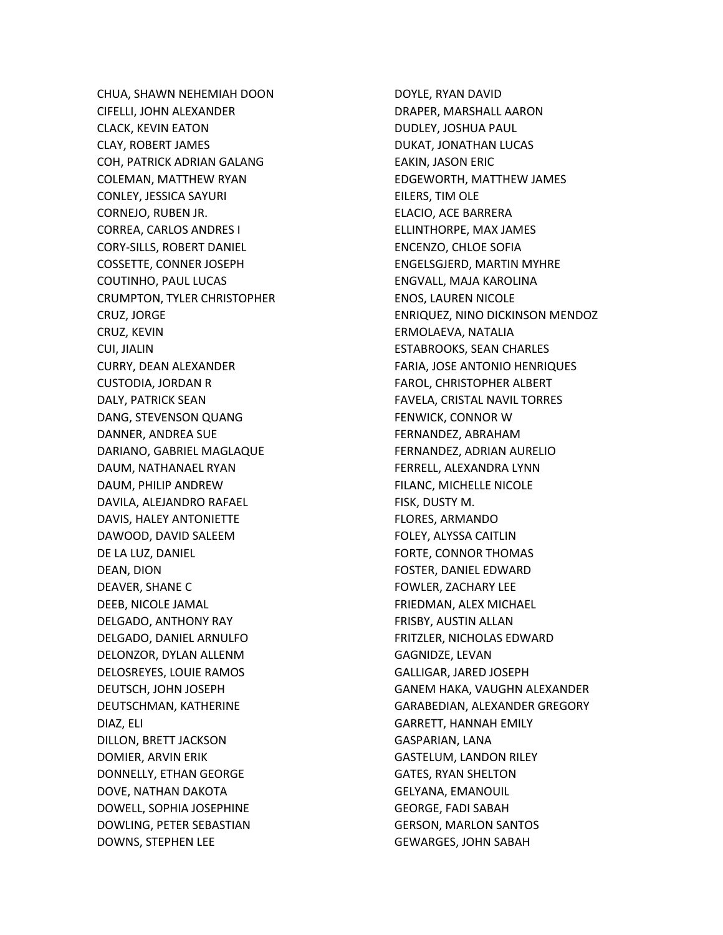CHUA, SHAWN NEHEMIAH DOON CIFELLI, JOHN ALEXANDER CLACK, KEVIN EATON CLAY, ROBERT JAMES COH, PATRICK ADRIAN GALANG COLEMAN, MATTHEW RYAN CONLEY, JESSICA SAYURI CORNEJO, RUBEN JR. CORREA, CARLOS ANDRES I CORY-SILLS, ROBERT DANIEL COSSETTE, CONNER JOSEPH COUTINHO, PAUL LUCAS CRUMPTON, TYLER CHRISTOPHER CRUZ, JORGE CRUZ, KEVIN CUI, JIALIN CURRY, DEAN ALEXANDER CUSTODIA, JORDAN R DALY, PATRICK SEAN DANG, STEVENSON QUANG DANNER, ANDREA SUE DARIANO, GABRIEL MAGLAQUE DAUM, NATHANAEL RYAN DAUM, PHILIP ANDREW DAVILA, ALEJANDRO RAFAEL DAVIS, HALEY ANTONIETTE DAWOOD, DAVID SALEEM DE LA LUZ, DANIEL DEAN, DION DEAVER, SHANE C DEEB, NICOLE JAMAL DELGADO, ANTHONY RAY DELGADO, DANIEL ARNULFO DELONZOR, DYLAN ALLENM DELOSREYES, LOUIE RAMOS DEUTSCH, JOHN JOSEPH DEUTSCHMAN, KATHERINE DIAZ, ELI DILLON, BRETT JACKSON DOMIER, ARVIN ERIK DONNELLY, ETHAN GEORGE DOVE, NATHAN DAKOTA DOWELL, SOPHIA JOSEPHINE DOWLING, PETER SEBASTIAN DOWNS, STEPHEN LEE

DOYLE, RYAN DAVID DRAPER, MARSHALL AARON DUDLEY, JOSHUA PAUL DUKAT, JONATHAN LUCAS EAKIN, JASON ERIC EDGEWORTH, MATTHEW JAMES EILERS, TIM OLE ELACIO, ACE BARRERA ELLINTHORPE, MAX JAMES ENCENZO, CHLOE SOFIA ENGELSGJERD, MARTIN MYHRE ENGVALL, MAJA KAROLINA ENOS, LAUREN NICOLE ENRIQUEZ, NINO DICKINSON MENDOZ ERMOLAEVA, NATALIA ESTABROOKS, SEAN CHARLES FARIA, JOSE ANTONIO HENRIQUES FAROL, CHRISTOPHER ALBERT FAVELA, CRISTAL NAVIL TORRES FENWICK, CONNOR W FERNANDEZ, ABRAHAM FERNANDEZ, ADRIAN AURELIO FERRELL, ALEXANDRA LYNN FILANC, MICHELLE NICOLE FISK, DUSTY M. FLORES, ARMANDO FOLEY, ALYSSA CAITLIN FORTE, CONNOR THOMAS FOSTER, DANIEL EDWARD FOWLER, ZACHARY LEE FRIEDMAN, ALEX MICHAEL FRISBY, AUSTIN ALLAN FRITZLER, NICHOLAS EDWARD GAGNIDZE, LEVAN GALLIGAR, JARED JOSEPH GANEM HAKA, VAUGHN ALEXANDER GARABEDIAN, ALEXANDER GREGORY GARRETT, HANNAH EMILY GASPARIAN, LANA GASTELUM, LANDON RILEY GATES, RYAN SHELTON GELYANA, EMANOUIL GEORGE, FADI SABAH GERSON, MARLON SANTOS GEWARGES, JOHN SABAH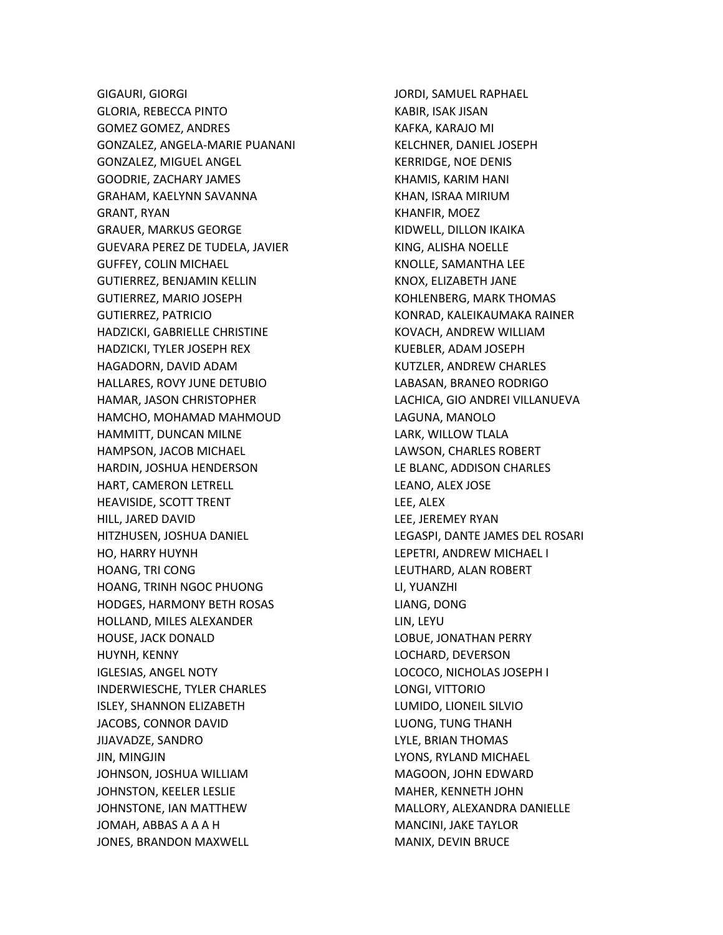GIGAURI, GIORGI GLORIA, REBECCA PINTO GOMEZ GOMEZ, ANDRES GONZALEZ, ANGELA-MARIE PUANANI GONZALEZ, MIGUEL ANGEL GOODRIE, ZACHARY JAMES GRAHAM, KAELYNN SAVANNA GRANT, RYAN GRAUER, MARKUS GEORGE GUEVARA PEREZ DE TUDELA, JAVIER GUFFEY, COLIN MICHAEL GUTIERREZ, BENJAMIN KELLIN GUTIERREZ, MARIO JOSEPH GUTIERREZ, PATRICIO HADZICKI, GABRIELLE CHRISTINE HADZICKI, TYLER JOSEPH REX HAGADORN, DAVID ADAM HALLARES, ROVY JUNE DETUBIO HAMAR, JASON CHRISTOPHER HAMCHO, MOHAMAD MAHMOUD HAMMITT, DUNCAN MILNE HAMPSON, JACOB MICHAEL HARDIN, JOSHUA HENDERSON HART, CAMERON LETRELL HEAVISIDE, SCOTT TRENT HILL, JARED DAVID HITZHUSEN, JOSHUA DANIEL HO, HARRY HUYNH HOANG, TRI CONG HOANG, TRINH NGOC PHUONG HODGES, HARMONY BETH ROSAS HOLLAND, MILES ALEXANDER HOUSE, JACK DONALD HUYNH, KENNY IGLESIAS, ANGEL NOTY INDERWIESCHE, TYLER CHARLES ISLEY, SHANNON ELIZABETH JACOBS, CONNOR DAVID JIJAVADZE, SANDRO JIN, MINGJIN JOHNSON, JOSHUA WILLIAM JOHNSTON, KEELER LESLIE JOHNSTONE, IAN MATTHEW JOMAH, ABBAS A A A H JONES, BRANDON MAXWELL

JORDI, SAMUEL RAPHAEL KABIR, ISAK JISAN KAFKA, KARAJO MI KELCHNER, DANIEL JOSEPH KERRIDGE, NOE DENIS KHAMIS, KARIM HANI KHAN, ISRAA MIRIUM KHANFIR, MOEZ KIDWELL, DILLON IKAIKA KING, ALISHA NOELLE KNOLLE, SAMANTHA LEE KNOX, ELIZABETH JANE KOHLENBERG, MARK THOMAS KONRAD, KALEIKAUMAKA RAINER KOVACH, ANDREW WILLIAM KUEBLER, ADAM JOSEPH KUTZLER, ANDREW CHARLES LABASAN, BRANEO RODRIGO LACHICA, GIO ANDREI VILLANUEVA LAGUNA, MANOLO LARK, WILLOW TLALA LAWSON, CHARLES ROBERT LE BLANC, ADDISON CHARLES LEANO, ALEX JOSE LEE, ALEX LEE, JEREMEY RYAN LEGASPI, DANTE JAMES DEL ROSARI LEPETRI, ANDREW MICHAEL I LEUTHARD, ALAN ROBERT LI, YUANZHI LIANG, DONG LIN, LEYU LOBUE, JONATHAN PERRY LOCHARD, DEVERSON LOCOCO, NICHOLAS JOSEPH I LONGI, VITTORIO LUMIDO, LIONEIL SILVIO LUONG, TUNG THANH LYLE, BRIAN THOMAS LYONS, RYLAND MICHAEL MAGOON, JOHN EDWARD MAHER, KENNETH JOHN MALLORY, ALEXANDRA DANIELLE MANCINI, JAKE TAYLOR MANIX, DEVIN BRUCE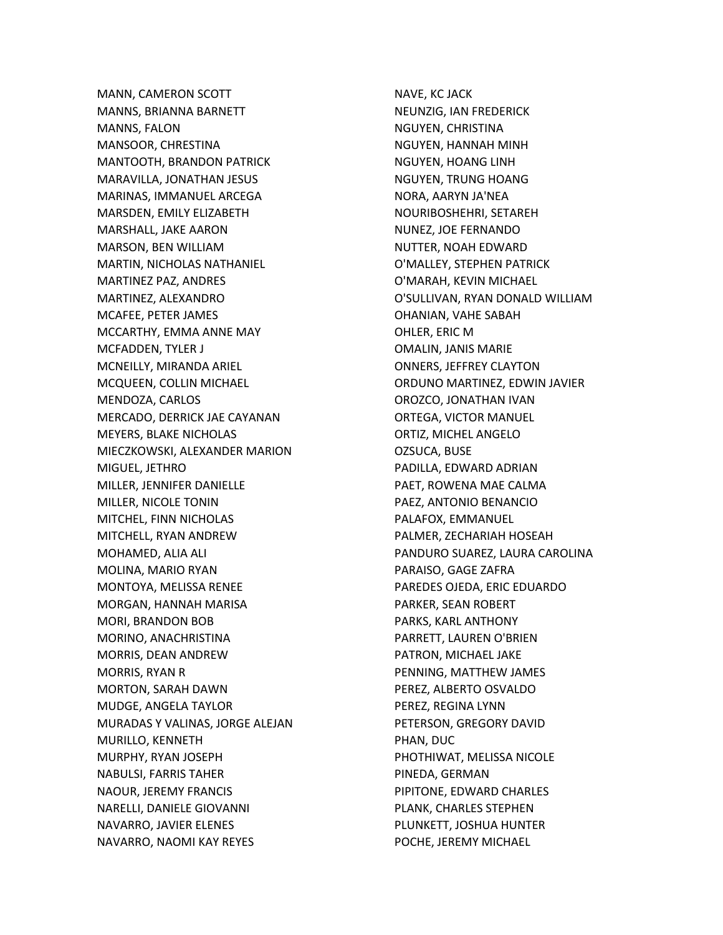MANN, CAMERON SCOTT MANNS, BRIANNA BARNETT MANNS, FALON MANSOOR, CHRESTINA MANTOOTH, BRANDON PATRICK MARAVILLA, JONATHAN JESUS MARINAS, IMMANUEL ARCEGA MARSDEN, EMILY ELIZABETH MARSHALL, JAKE AARON MARSON, BEN WILLIAM MARTIN, NICHOLAS NATHANIEL MARTINEZ PAZ, ANDRES MARTINEZ, ALEXANDRO MCAFEE, PETER JAMES MCCARTHY, EMMA ANNE MAY MCFADDEN, TYLER J MCNEILLY, MIRANDA ARIEL MCQUEEN, COLLIN MICHAEL MENDOZA, CARLOS MERCADO, DERRICK JAE CAYANAN MEYERS, BLAKE NICHOLAS MIECZKOWSKI, ALEXANDER MARION MIGUEL, JETHRO MILLER, JENNIFER DANIELLE MILLER, NICOLE TONIN MITCHEL, FINN NICHOLAS MITCHELL, RYAN ANDREW MOHAMED, ALIA ALI MOLINA, MARIO RYAN MONTOYA, MELISSA RENEE MORGAN, HANNAH MARISA MORI, BRANDON BOB MORINO, ANACHRISTINA MORRIS, DEAN ANDREW MORRIS, RYAN R MORTON, SARAH DAWN MUDGE, ANGELA TAYLOR MURADAS Y VALINAS, JORGE ALEJAN MURILLO, KENNETH MURPHY, RYAN JOSEPH NABULSI, FARRIS TAHER NAOUR, JEREMY FRANCIS NARELLI, DANIELE GIOVANNI NAVARRO, JAVIER ELENES NAVARRO, NAOMI KAY REYES

NAVE, KC JACK NEUNZIG, IAN FREDERICK NGUYEN, CHRISTINA NGUYEN, HANNAH MINH NGUYEN, HOANG LINH NGUYEN, TRUNG HOANG NORA, AARYN JA'NEA NOURIBOSHEHRI, SETAREH NUNEZ, JOE FERNANDO NUTTER, NOAH EDWARD O'MALLEY, STEPHEN PATRICK O'MARAH, KEVIN MICHAEL O'SULLIVAN, RYAN DONALD WILLIAM OHANIAN, VAHE SABAH OHLER, ERIC M OMALIN, JANIS MARIE ONNERS, JEFFREY CLAYTON ORDUNO MARTINEZ, EDWIN JAVIER OROZCO, JONATHAN IVAN ORTEGA, VICTOR MANUEL ORTIZ, MICHEL ANGELO OZSUCA, BUSE PADILLA, EDWARD ADRIAN PAET, ROWENA MAE CALMA PAEZ, ANTONIO BENANCIO PALAFOX, EMMANUEL PALMER, ZECHARIAH HOSEAH PANDURO SUAREZ, LAURA CAROLINA PARAISO, GAGE ZAFRA PAREDES OJEDA, ERIC EDUARDO PARKER, SEAN ROBERT PARKS, KARL ANTHONY PARRETT, LAUREN O'BRIEN PATRON, MICHAEL JAKE PENNING, MATTHEW JAMES PEREZ, ALBERTO OSVALDO PEREZ, REGINA LYNN PETERSON, GREGORY DAVID PHAN, DUC PHOTHIWAT, MELISSA NICOLE PINEDA, GERMAN PIPITONE, EDWARD CHARLES PLANK, CHARLES STEPHEN PLUNKETT, JOSHUA HUNTER POCHE, JEREMY MICHAEL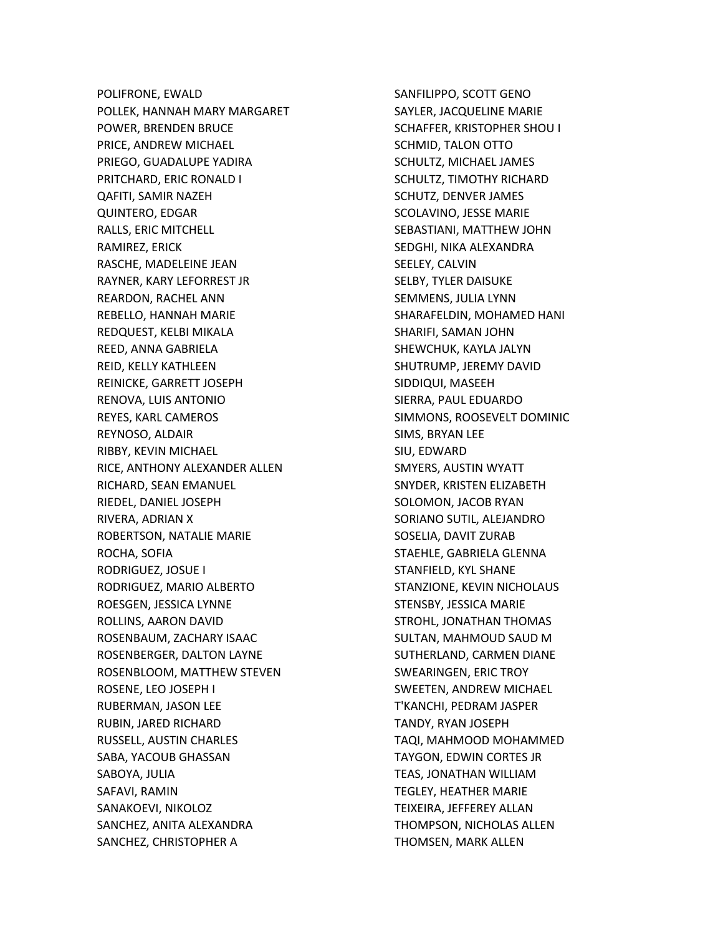POLIFRONE, EWALD POLLEK, HANNAH MARY MARGARET POWER, BRENDEN BRUCE PRICE, ANDREW MICHAEL PRIEGO, GUADALUPE YADIRA PRITCHARD, ERIC RONALD I QAFITI, SAMIR NAZEH QUINTERO, EDGAR RALLS, ERIC MITCHELL RAMIREZ, ERICK RASCHE, MADELEINE JEAN RAYNER, KARY LEFORREST JR REARDON, RACHEL ANN REBELLO, HANNAH MARIE REDQUEST, KELBI MIKALA REED, ANNA GABRIELA REID, KELLY KATHLEEN REINICKE, GARRETT JOSEPH RENOVA, LUIS ANTONIO REYES, KARL CAMEROS REYNOSO, ALDAIR RIBBY, KEVIN MICHAEL RICE, ANTHONY ALEXANDER ALLEN RICHARD, SEAN EMANUEL RIEDEL, DANIEL JOSEPH RIVERA, ADRIAN X ROBERTSON, NATALIE MARIE ROCHA, SOFIA RODRIGUEZ, JOSUE I RODRIGUEZ, MARIO ALBERTO ROESGEN, JESSICA LYNNE ROLLINS, AARON DAVID ROSENBAUM, ZACHARY ISAAC ROSENBERGER, DALTON LAYNE ROSENBLOOM, MATTHEW STEVEN ROSENE, LEO JOSEPH I RUBERMAN, JASON LEE RUBIN, JARED RICHARD RUSSELL, AUSTIN CHARLES SABA, YACOUB GHASSAN SABOYA, JULIA SAFAVI, RAMIN SANAKOEVI, NIKOLOZ SANCHEZ, ANITA ALEXANDRA SANCHEZ, CHRISTOPHER A

SANFILIPPO, SCOTT GENO SAYLER, JACQUELINE MARIE SCHAFFER, KRISTOPHER SHOU I SCHMID, TALON OTTO SCHULTZ, MICHAEL JAMES SCHULTZ, TIMOTHY RICHARD SCHUTZ, DENVER JAMES SCOLAVINO, JESSE MARIE SEBASTIANI, MATTHEW JOHN SEDGHI, NIKA ALEXANDRA SEELEY, CALVIN SELBY, TYLER DAISUKE SEMMENS, JULIA LYNN SHARAFELDIN, MOHAMED HANI SHARIFI, SAMAN JOHN SHEWCHUK, KAYLA JALYN SHUTRUMP, JEREMY DAVID SIDDIQUI, MASEEH SIERRA, PAUL EDUARDO SIMMONS, ROOSEVELT DOMINIC SIMS, BRYAN LEE SIU, EDWARD SMYERS, AUSTIN WYATT SNYDER, KRISTEN ELIZABETH SOLOMON, JACOB RYAN SORIANO SUTIL, ALEJANDRO SOSELIA, DAVIT ZURAB STAEHLE, GABRIELA GLENNA STANFIELD, KYL SHANE STANZIONE, KEVIN NICHOLAUS STENSBY, JESSICA MARIE STROHL, JONATHAN THOMAS SULTAN, MAHMOUD SAUD M SUTHERLAND, CARMEN DIANE SWEARINGEN, ERIC TROY SWEETEN, ANDREW MICHAEL T'KANCHI, PEDRAM JASPER TANDY, RYAN JOSEPH TAQI, MAHMOOD MOHAMMED TAYGON, EDWIN CORTES JR TEAS, JONATHAN WILLIAM TEGLEY, HEATHER MARIE TEIXEIRA, JEFFEREY ALLAN THOMPSON, NICHOLAS ALLEN THOMSEN, MARK ALLEN